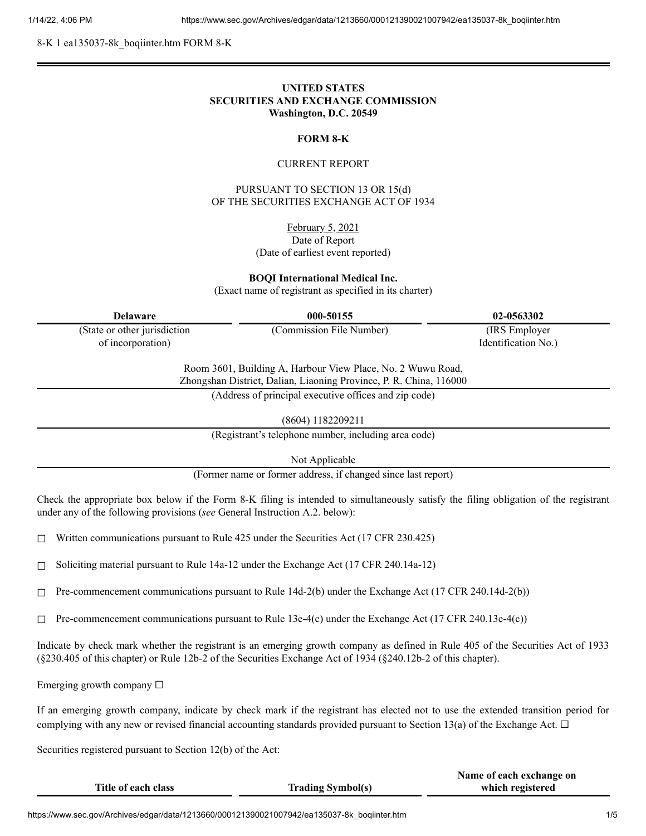8-K 1 ea135037-8k\_boqiinter.htm FORM 8-K

# **UNITED STATES SECURITIES AND EXCHANGE COMMISSION Washington, D.C. 20549**

## **FORM 8-K**

#### CURRENT REPORT

PURSUANT TO SECTION 13 OR 15(d) OF THE SECURITIES EXCHANGE ACT OF 1934

February 5, 2021

Date of Report (Date of earliest event reported)

**BOQI International Medical Inc.**

(Exact name of registrant as specified in its charter)

| <b>Delaware</b>                                                                                                                                                                            | 000-50155                | 02-0563302          |  |
|--------------------------------------------------------------------------------------------------------------------------------------------------------------------------------------------|--------------------------|---------------------|--|
| (State or other jurisdiction                                                                                                                                                               | (Commission File Number) | (IRS Employer)      |  |
| of incorporation)                                                                                                                                                                          |                          | Identification No.) |  |
| Room 3601, Building A, Harbour View Place, No. 2 Wuwu Road,<br>Zhongshan District, Dalian, Liaoning Province, P. R. China, 116000<br>(Address of principal executive offices and zip code) |                          |                     |  |

(8604) 1182209211

(Registrant's telephone number, including area code)

Not Applicable

(Former name or former address, if changed since last report)

Check the appropriate box below if the Form 8-K filing is intended to simultaneously satisfy the filing obligation of the registrant under any of the following provisions (*see* General Instruction A.2. below):

 $\Box$  Written communications pursuant to Rule 425 under the Securities Act (17 CFR 230.425)

 $\Box$  Soliciting material pursuant to Rule 14a-12 under the Exchange Act (17 CFR 240.14a-12)

 $\Box$  Pre-commencement communications pursuant to Rule 14d-2(b) under the Exchange Act (17 CFR 240.14d-2(b))

 $\Box$  Pre-commencement communications pursuant to Rule 13e-4(c) under the Exchange Act (17 CFR 240.13e-4(c))

Indicate by check mark whether the registrant is an emerging growth company as defined in Rule 405 of the Securities Act of 1933 (§230.405 of this chapter) or Rule 12b-2 of the Securities Exchange Act of 1934 (§240.12b-2 of this chapter).

Emerging growth company  $\Box$ 

If an emerging growth company, indicate by check mark if the registrant has elected not to use the extended transition period for complying with any new or revised financial accounting standards provided pursuant to Section 13(a) of the Exchange Act.  $\Box$ 

Securities registered pursuant to Section 12(b) of the Act:

|                     |                          | Name of each exchange on |
|---------------------|--------------------------|--------------------------|
| Title of each class | <b>Trading Symbol(s)</b> | which registered         |
|                     |                          |                          |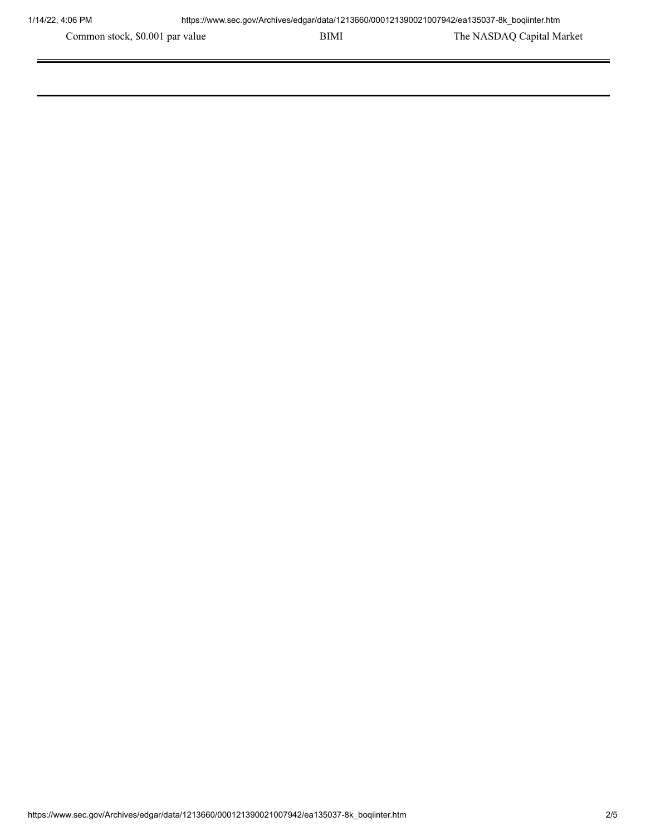Common stock, \$0.001 par value BIMI BIMI The NASDAQ Capital Market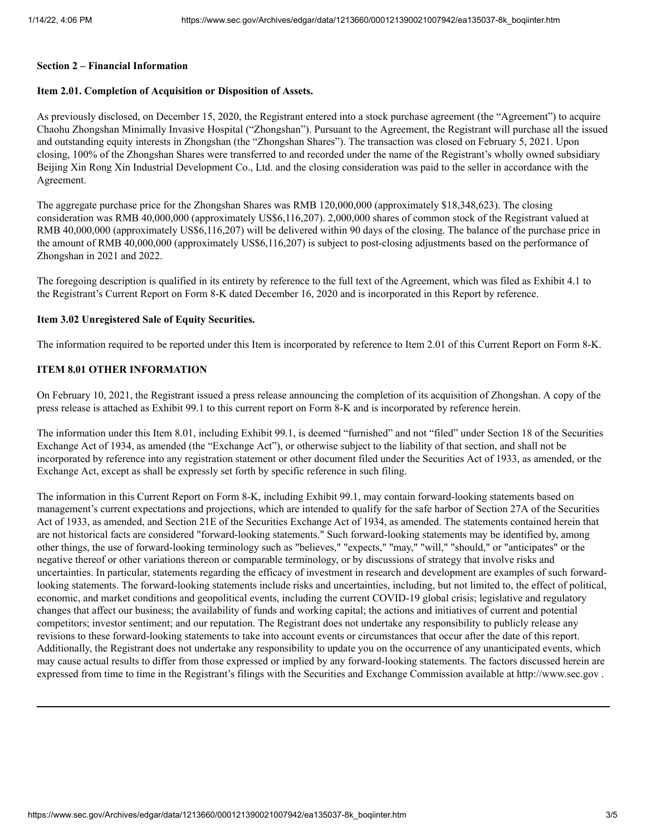#### **Section 2 – Financial Information**

## **Item 2.01. Completion of Acquisition or Disposition of Assets.**

As previously disclosed, on December 15, 2020, the Registrant entered into a stock purchase agreement (the "Agreement") to acquire Chaohu Zhongshan Minimally Invasive Hospital ("Zhongshan"). Pursuant to the Agreement, the Registrant will purchase all the issued and outstanding equity interests in Zhongshan (the "Zhongshan Shares"). The transaction was closed on February 5, 2021. Upon closing, 100% of the Zhongshan Shares were transferred to and recorded under the name of the Registrant's wholly owned subsidiary Beijing Xin Rong Xin Industrial Development Co., Ltd. and the closing consideration was paid to the seller in accordance with the Agreement.

The aggregate purchase price for the Zhongshan Shares was RMB 120,000,000 (approximately \$18,348,623). The closing consideration was RMB 40,000,000 (approximately US\$6,116,207). 2,000,000 shares of common stock of the Registrant valued at RMB 40,000,000 (approximately US\$6,116,207) will be delivered within 90 days of the closing. The balance of the purchase price in the amount of RMB 40,000,000 (approximately US\$6,116,207) is subject to post-closing adjustments based on the performance of Zhongshan in 2021 and 2022.

The foregoing description is qualified in its entirety by reference to the full text of the Agreement, which was filed as Exhibit 4.1 to the Registrant's Current Report on Form 8-K dated December 16, 2020 and is incorporated in this Report by reference.

#### **Item 3.02 Unregistered Sale of Equity Securities.**

The information required to be reported under this Item is incorporated by reference to Item 2.01 of this Current Report on Form 8-K.

### **ITEM 8.01 OTHER INFORMATION**

On February 10, 2021, the Registrant issued a press release announcing the completion of its acquisition of Zhongshan. A copy of the press release is attached as Exhibit 99.1 to this current report on Form 8-K and is incorporated by reference herein.

The information under this Item 8.01, including Exhibit 99.1, is deemed "furnished" and not "filed" under Section 18 of the Securities Exchange Act of 1934, as amended (the "Exchange Act"), or otherwise subject to the liability of that section, and shall not be incorporated by reference into any registration statement or other document filed under the Securities Act of 1933, as amended, or the Exchange Act, except as shall be expressly set forth by specific reference in such filing.

The information in this Current Report on Form 8-K, including Exhibit 99.1, may contain forward-looking statements based on management's current expectations and projections, which are intended to qualify for the safe harbor of Section 27A of the Securities Act of 1933, as amended, and Section 21E of the Securities Exchange Act of 1934, as amended. The statements contained herein that are not historical facts are considered "forward-looking statements." Such forward-looking statements may be identified by, among other things, the use of forward-looking terminology such as "believes," "expects," "may," "will," "should," or "anticipates" or the negative thereof or other variations thereon or comparable terminology, or by discussions of strategy that involve risks and uncertainties. In particular, statements regarding the efficacy of investment in research and development are examples of such forwardlooking statements. The forward-looking statements include risks and uncertainties, including, but not limited to, the effect of political, economic, and market conditions and geopolitical events, including the current COVID-19 global crisis; legislative and regulatory changes that affect our business; the availability of funds and working capital; the actions and initiatives of current and potential competitors; investor sentiment; and our reputation. The Registrant does not undertake any responsibility to publicly release any revisions to these forward-looking statements to take into account events or circumstances that occur after the date of this report. Additionally, the Registrant does not undertake any responsibility to update you on the occurrence of any unanticipated events, which may cause actual results to differ from those expressed or implied by any forward-looking statements. The factors discussed herein are expressed from time to time in the Registrant's filings with the Securities and Exchange Commission available at http://www.sec.gov .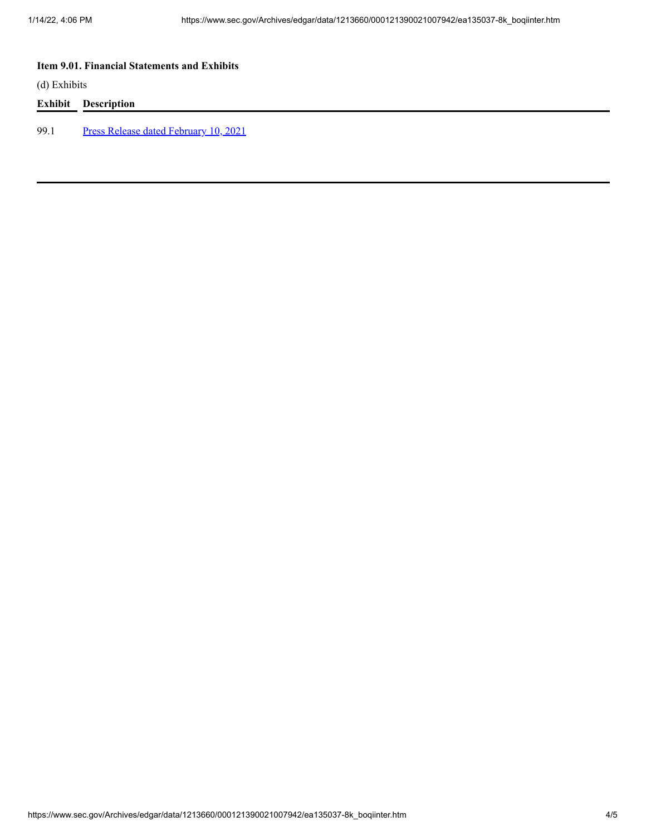# **Item 9.01. Financial Statements and Exhibits**

(d) Exhibits

## **Exhibit Description**

99.1 Press Release dated [February](https://www.sec.gov/Archives/edgar/data/1213660/000121390021007942/ea135037ex99-1_boqiinter.htm) 10, 2021